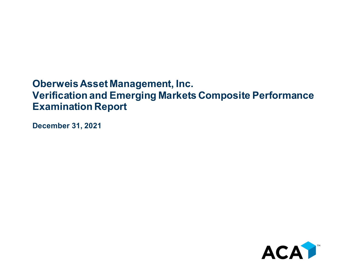## **Oberweis Asset Management, Inc. Verification and Emerging Markets Composite Performance Examination Report**

**December 31, 2021**

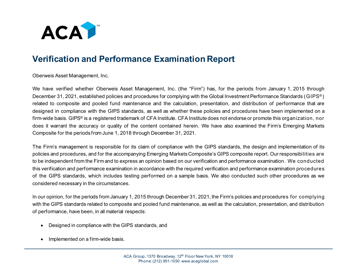

## **Verification and Performance Examination Report**

Oberweis Asset Management, Inc.

We have verified whether Oberweis Asset Management, Inc. (the "Firm") has, for the periods from January 1, 2015 through December 31, 2021, established policies and procedures for complying with the Global Investment Performance Standards (GIPS® ) related to composite and pooled fund maintenance and the calculation, presentation, and distribution of performance that are designed in compliance with the GIPS standards, as well as whether these policies and procedures have been implemented on a firm-wide basis. GIPS® is a registered trademark of CFA Institute. CFA Institute does not endorse or promote this organization, nor does it warrant the accuracy or quality of the content contained herein. We have also examined the Firm's Emerging Markets Composite for the periods from June 1, 2018 through December 31, 2021.

The Firm's management is responsible for its claim of compliance with the GIPS standards, the design and implementation of its policies and procedures, and for the accompanying Emerging Markets Composite's GIPS composite report. Our responsibilities are to be independent from the Firm and to express an opinion based on our verification and performance examination. We conducted this verification and performance examination in accordance with the required verification and performance examination procedures of the GIPS standards, which includes testing performed on a sample basis. We also conducted such other procedures as we considered necessary in the circumstances.

In our opinion, for the periods from January 1, 2015 through December 31, 2021, the Firm's policies and procedures for complying with the GIPS standards related to composite and pooled fund maintenance, as well as the calculation, presentation, and distribution of performance, have been, in all material respects:

- Designed in compliance with the GIPS standards, and
- Implemented on a firm-wide basis.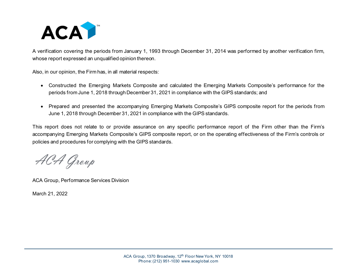

A verification covering the periods from January 1, 1993 through December 31, 2014 was performed by another verification firm, whose report expressed an unqualified opinion thereon.

Also, in our opinion, the Firm has, in all material respects:

- Constructed the Emerging Markets Composite and calculated the Emerging Markets Composite's performance for the periods from June 1, 2018 through December 31, 2021 in compliance with the GIPS standards; and
- Prepared and presented the accompanying Emerging Markets Composite's GIPS composite report for the periods from June 1, 2018 through December 31, 2021 in compliance with the GIPS standards.

This report does not relate to or provide assurance on any specific performance report of the Firm other than the Firm's accompanying Emerging Markets Composite's GIPS composite report, or on the operating effectiveness of the Firm's controls or policies and procedures for complying with the GIPS standards.

ACA Group

ACA Group, Performance Services Division

March 21, 2022